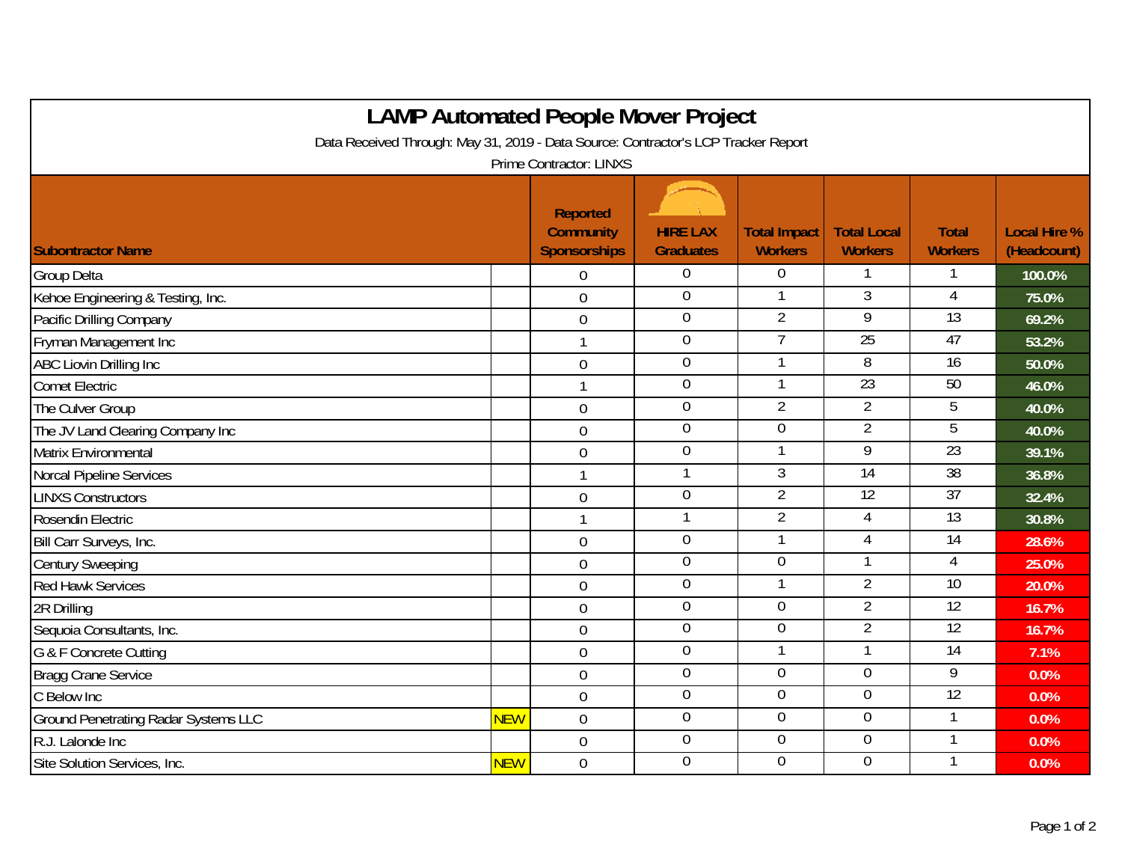| <b>LAMP Automated People Mover Project</b>                                         |            |                                                     |                                     |                                       |                                      |                                |                                    |  |  |  |  |  |
|------------------------------------------------------------------------------------|------------|-----------------------------------------------------|-------------------------------------|---------------------------------------|--------------------------------------|--------------------------------|------------------------------------|--|--|--|--|--|
| Data Received Through: May 31, 2019 - Data Source: Contractor's LCP Tracker Report |            |                                                     |                                     |                                       |                                      |                                |                                    |  |  |  |  |  |
| <b>Prime Contractor: LINXS</b>                                                     |            |                                                     |                                     |                                       |                                      |                                |                                    |  |  |  |  |  |
| <b>Subontractor Name</b>                                                           |            | Reported<br><b>Community</b><br><b>Sponsorships</b> | <b>HIRE LAX</b><br><b>Graduates</b> | <b>Total Impact</b><br><b>Workers</b> | <b>Total Local</b><br><b>Workers</b> | <b>Total</b><br><b>Workers</b> | <b>Local Hire %</b><br>(Headcount) |  |  |  |  |  |
| <b>Group Delta</b>                                                                 |            | $\overline{0}$                                      | $\mathbf 0$                         | $\Omega$                              |                                      |                                | 100.0%                             |  |  |  |  |  |
| Kehoe Engineering & Testing, Inc.                                                  |            | $\overline{0}$                                      | $\mathbf 0$                         | $\mathbf{1}$                          | $\overline{3}$                       | $\overline{4}$                 | 75.0%                              |  |  |  |  |  |
| Pacific Drilling Company                                                           |            | $\mathbf 0$                                         | $\overline{0}$                      | $\overline{2}$                        | $\overline{9}$                       | $\overline{13}$                | 69.2%                              |  |  |  |  |  |
| Fryman Management Inc                                                              |            | $\mathbf{1}$                                        | $\overline{0}$                      | $\overline{7}$                        | 25                                   | 47                             | 53.2%                              |  |  |  |  |  |
| ABC Liovin Drilling Inc                                                            |            | $\mathbf 0$                                         | $\overline{0}$                      |                                       | $\overline{8}$                       | $\overline{16}$                | 50.0%                              |  |  |  |  |  |
| <b>Comet Electric</b>                                                              |            | $\mathbf{1}$                                        | $\boldsymbol{0}$                    | $\mathbf{1}$                          | $\overline{23}$                      | 50                             | 46.0%                              |  |  |  |  |  |
| The Culver Group                                                                   |            | $\mathbf 0$                                         | $\boldsymbol{0}$                    | $\overline{2}$                        | $\overline{2}$                       | 5                              | 40.0%                              |  |  |  |  |  |
| The JV Land Clearing Company Inc                                                   |            | $\overline{0}$                                      | $\boldsymbol{0}$                    | $\mathbf 0$                           | $\overline{2}$                       | 5                              | 40.0%                              |  |  |  |  |  |
| Matrix Environmental                                                               |            | $\overline{0}$                                      | $\overline{0}$                      |                                       | 9                                    | 23                             | 39.1%                              |  |  |  |  |  |
| Norcal Pipeline Services                                                           |            | $\mathbf{1}$                                        | 1                                   | $\mathfrak{Z}$                        | 14                                   | $\overline{38}$                | 36.8%                              |  |  |  |  |  |
| <b>LINXS Constructors</b>                                                          |            | $\mathbf 0$                                         | $\overline{0}$                      | $\overline{2}$                        | 12                                   | 37                             | 32.4%                              |  |  |  |  |  |
| Rosendin Electric                                                                  |            | $\mathbf{1}$                                        | 1                                   | $\overline{2}$                        | 4                                    | $\overline{13}$                | 30.8%                              |  |  |  |  |  |
| Bill Carr Surveys, Inc.                                                            |            | $\overline{0}$                                      | $\overline{0}$                      | $\mathbf{1}$                          | $\overline{4}$                       | 14                             | 28.6%                              |  |  |  |  |  |
| <b>Century Sweeping</b>                                                            |            | $\mathbf 0$                                         | $\mathbf 0$                         | $\overline{0}$                        |                                      | 4                              | 25.0%                              |  |  |  |  |  |
| <b>Red Hawk Services</b>                                                           |            | $\overline{0}$                                      | $\mathbf 0$                         | $\mathbf{1}$                          | $\overline{2}$                       | 10                             | 20.0%                              |  |  |  |  |  |
| 2R Drilling                                                                        |            | $\mathbf 0$                                         | $\overline{0}$                      | $\overline{0}$                        | $\overline{2}$                       | $\overline{12}$                | 16.7%                              |  |  |  |  |  |
| Sequoia Consultants, Inc.                                                          |            | $\overline{0}$                                      | $\boldsymbol{0}$                    | $\overline{0}$                        | $\overline{2}$                       | $\overline{12}$                | 16.7%                              |  |  |  |  |  |
| G & F Concrete Cutting                                                             |            | $\mathbf 0$                                         | $\mathbf 0$                         |                                       |                                      | $\overline{14}$                | 7.1%                               |  |  |  |  |  |
| <b>Bragg Crane Service</b>                                                         |            | $\overline{0}$                                      | $\mathbf 0$                         | $\overline{0}$                        | $\overline{0}$                       | 9                              | 0.0%                               |  |  |  |  |  |
| C Below Inc                                                                        |            | $\mathbf 0$                                         | $\overline{0}$                      | $\overline{0}$                        | $\overline{0}$                       | 12                             | 0.0%                               |  |  |  |  |  |
| <b>Ground Penetrating Radar Systems LLC</b>                                        | <b>NEW</b> | $\boldsymbol{0}$                                    | $\boldsymbol{0}$                    | $\overline{0}$                        | $\mathbf 0$                          | 1                              | 0.0%                               |  |  |  |  |  |
| R.J. Lalonde Inc                                                                   |            | $\mathbf 0$                                         | $\overline{0}$                      | $\overline{0}$                        | $\overline{0}$                       |                                | 0.0%                               |  |  |  |  |  |
| Site Solution Services, Inc.                                                       | <b>NEW</b> | $\mathbf 0$                                         | $\mathbf 0$                         | $\overline{0}$                        | $\overline{0}$                       |                                | 0.0%                               |  |  |  |  |  |